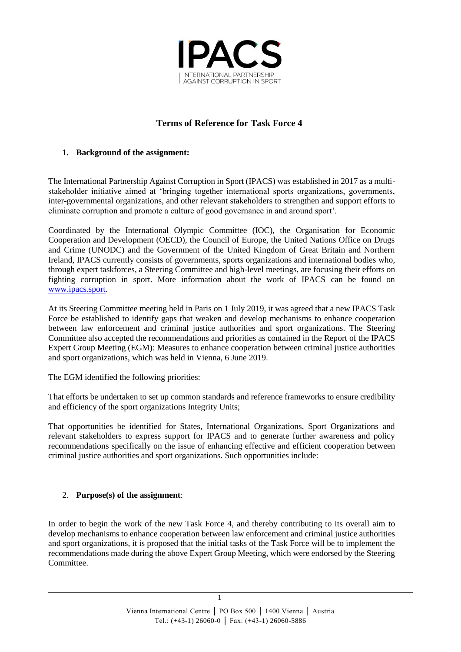

# **Terms of Reference for Task Force 4**

#### **1. Background of the assignment:**

The International Partnership Against Corruption in Sport (IPACS) was established in 2017 as a multistakeholder initiative aimed at 'bringing together international sports organizations, governments, inter-governmental organizations, and other relevant stakeholders to strengthen and support efforts to eliminate corruption and promote a culture of good governance in and around sport'.

Coordinated by the International Olympic Committee (IOC), the Organisation for Economic Cooperation and Development (OECD), the Council of Europe, the United Nations Office on Drugs and Crime (UNODC) and the Government of the United Kingdom of Great Britain and Northern Ireland, IPACS currently consists of governments, sports organizations and international bodies who, through expert taskforces, a Steering Committee and high-level meetings, are focusing their efforts on fighting corruption in sport. More information about the work of IPACS can be found on [www.ipacs.sport.](http://www.ipacs.sport/)

At its Steering Committee meeting held in Paris on 1 July 2019, it was agreed that a new IPACS Task Force be established to identify gaps that weaken and develop mechanisms to enhance cooperation between law enforcement and criminal justice authorities and sport organizations. The Steering Committee also accepted the recommendations and priorities as contained in the Report of the IPACS Expert Group Meeting (EGM): Measures to enhance cooperation between criminal justice authorities and sport organizations, which was held in Vienna, 6 June 2019.

The EGM identified the following priorities:

That efforts be undertaken to set up common standards and reference frameworks to ensure credibility and efficiency of the sport organizations Integrity Units;

That opportunities be identified for States, International Organizations, Sport Organizations and relevant stakeholders to express support for IPACS and to generate further awareness and policy recommendations specifically on the issue of enhancing effective and efficient cooperation between criminal justice authorities and sport organizations. Such opportunities include:

### 2. **Purpose(s) of the assignment**:

In order to begin the work of the new Task Force 4, and thereby contributing to its overall aim to develop mechanisms to enhance cooperation between law enforcement and criminal justice authorities and sport organizations, it is proposed that the initial tasks of the Task Force will be to implement the recommendations made during the above Expert Group Meeting, which were endorsed by the Steering Committee.

1